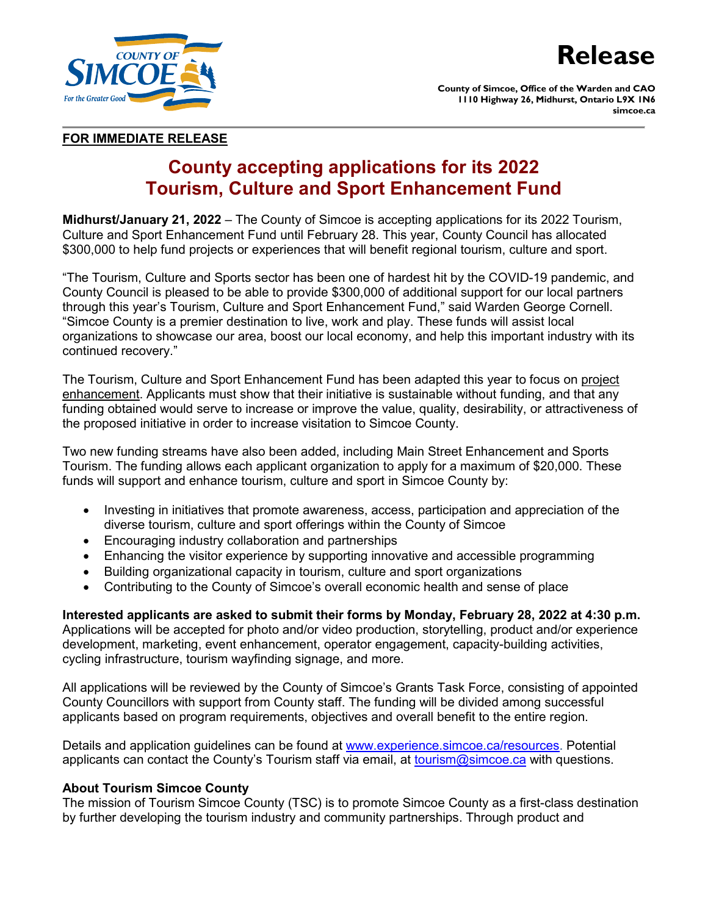

**County of Simcoe, Office of the Warden and CAO 1110 Highway 26, Midhurst, Ontario L9X 1N6 simcoe.ca**

## **FOR IMMEDIATE RELEASE**

# **County accepting applications for its 2022 Tourism, Culture and Sport Enhancement Fund**

**Midhurst/January 21, 2022** – The County of Simcoe is accepting applications for its 2022 Tourism, Culture and Sport Enhancement Fund until February 28. This year, County Council has allocated \$300,000 to help fund projects or experiences that will benefit regional tourism, culture and sport.

"The Tourism, Culture and Sports sector has been one of hardest hit by the COVID-19 pandemic, and County Council is pleased to be able to provide \$300,000 of additional support for our local partners through this year's Tourism, Culture and Sport Enhancement Fund," said Warden George Cornell. "Simcoe County is a premier destination to live, work and play. These funds will assist local organizations to showcase our area, boost our local economy, and help this important industry with its continued recovery."

The Tourism, Culture and Sport Enhancement Fund has been adapted this year to focus on project enhancement. Applicants must show that their initiative is sustainable without funding, and that any funding obtained would serve to increase or improve the value, quality, desirability, or attractiveness of the proposed initiative in order to increase visitation to Simcoe County.

Two new funding streams have also been added, including Main Street Enhancement and Sports Tourism. The funding allows each applicant organization to apply for a maximum of \$20,000. These funds will support and enhance tourism, culture and sport in Simcoe County by:

- Investing in initiatives that promote awareness, access, participation and appreciation of the diverse tourism, culture and sport offerings within the County of Simcoe
- Encouraging industry collaboration and partnerships
- Enhancing the visitor experience by supporting innovative and accessible programming
- Building organizational capacity in tourism, culture and sport organizations
- Contributing to the County of Simcoe's overall economic health and sense of place

# **Interested applicants are asked to submit their forms by Monday, February 28, 2022 at 4:30 p.m.**

Applications will be accepted for photo and/or video production, storytelling, product and/or experience development, marketing, event enhancement, operator engagement, capacity-building activities, cycling infrastructure, tourism wayfinding signage, and more.

All applications will be reviewed by the County of Simcoe's Grants Task Force, consisting of appointed County Councillors with support from County staff. The funding will be divided among successful applicants based on program requirements, objectives and overall benefit to the entire region.

Details and application guidelines can be found at [www.experience.simcoe.ca/resources.](http://www.experience.simcoe.ca/resources) Potential applicants can contact the County's Tourism staff via email, at [tourism@simcoe.ca](mailto:tourism@simcoe.ca) with questions.

## **About Tourism Simcoe County**

The mission of Tourism Simcoe County (TSC) is to promote Simcoe County as a first-class destination by further developing the tourism industry and community partnerships. Through product and